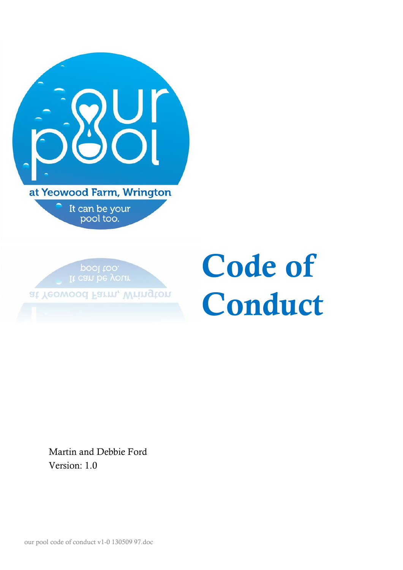| at Yeowood Farm, Wrington   |
|-----------------------------|
| It can be your<br>pool too. |

pool too.

at Yeowood Farm, Wrington

# **Code of Conduct**

Martin and Debbie Ford Version: 1.0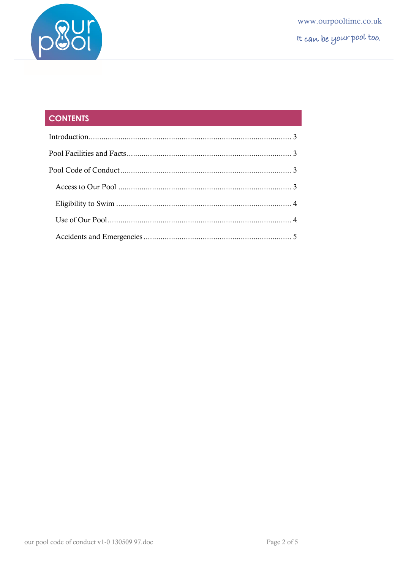

# **CONTENTS**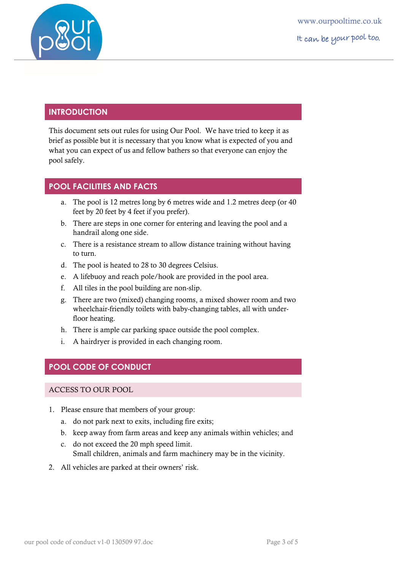

www.ourpooltime.co.uk It can be your pool too.

## <span id="page-2-0"></span>**INTRODUCTION**

This document sets out rules for using Our Pool. We have tried to keep it as brief as possible but it is necessary that you know what is expected of you and what you can expect of us and fellow bathers so that everyone can enjoy the pool safely.

# <span id="page-2-1"></span>**POOL FACILITIES AND FACTS**

- a. The pool is 12 metres long by 6 metres wide and 1.2 metres deep (or 40 feet by 20 feet by 4 feet if you prefer).
- b. There are steps in one corner for entering and leaving the pool and a handrail along one side.
- c. There is a resistance stream to allow distance training without having to turn.
- d. The pool is heated to 28 to 30 degrees Celsius.
- e. A lifebuoy and reach pole/hook are provided in the pool area.
- f. All tiles in the pool building are non-slip.
- g. There are two (mixed) changing rooms, a mixed shower room and two wheelchair-friendly toilets with baby-changing tables, all with underfloor heating.
- h. There is ample car parking space outside the pool complex.
- <span id="page-2-2"></span>i. A hairdryer is provided in each changing room.

# **POOL CODE OF CONDUCT**

### <span id="page-2-3"></span>ACCESS TO OUR POOL

- 1. Please ensure that members of your group:
	- a. do not park next to exits, including fire exits;
	- b. keep away from farm areas and keep any animals within vehicles; and
	- c. do not exceed the 20 mph speed limit. Small children, animals and farm machinery may be in the vicinity.
- 2. All vehicles are parked at their owners' risk.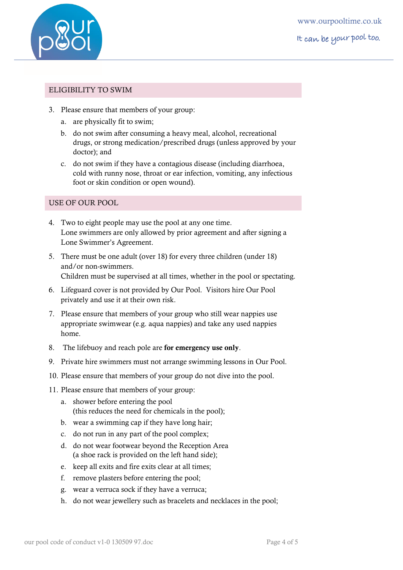

www.ourpooltime.co.uk It can be your pool too.

#### <span id="page-3-0"></span>ELIGIBILITY TO SWIM

- 3. Please ensure that members of your group:
	- a. are physically fit to swim;
	- b. do not swim after consuming a heavy meal, alcohol, recreational drugs, or strong medication/prescribed drugs (unless approved by your doctor); and
	- c. do not swim if they have a contagious disease (including diarrhoea, cold with runny nose, throat or ear infection, vomiting, any infectious foot or skin condition or open wound).

### <span id="page-3-1"></span>USE OF OUR POOL

- 4. Two to eight people may use the pool at any one time. Lone swimmers are only allowed by prior agreement and after signing a Lone Swimmer's Agreement.
- 5. There must be one adult (over 18) for every three children (under 18) and/or non-swimmers. Children must be supervised at all times, whether in the pool or spectating.
- 6. Lifeguard cover is not provided by Our Pool. Visitors hire Our Pool privately and use it at their own risk.
- 7. Please ensure that members of your group who still wear nappies use appropriate swimwear (e.g. aqua nappies) and take any used nappies home.
- 8. The lifebuoy and reach pole are **for emergency use only**.
- 9. Private hire swimmers must not arrange swimming lessons in Our Pool.
- 10. Please ensure that members of your group do not dive into the pool.
- 11. Please ensure that members of your group:
	- a. shower before entering the pool (this reduces the need for chemicals in the pool);
	- b. wear a swimming cap if they have long hair;
	- c. do not run in any part of the pool complex;
	- d. do not wear footwear beyond the Reception Area (a shoe rack is provided on the left hand side);
	- e. keep all exits and fire exits clear at all times;
	- f. remove plasters before entering the pool;
	- g. wear a verruca sock if they have a verruca;
	- h. do not wear jewellery such as bracelets and necklaces in the pool;